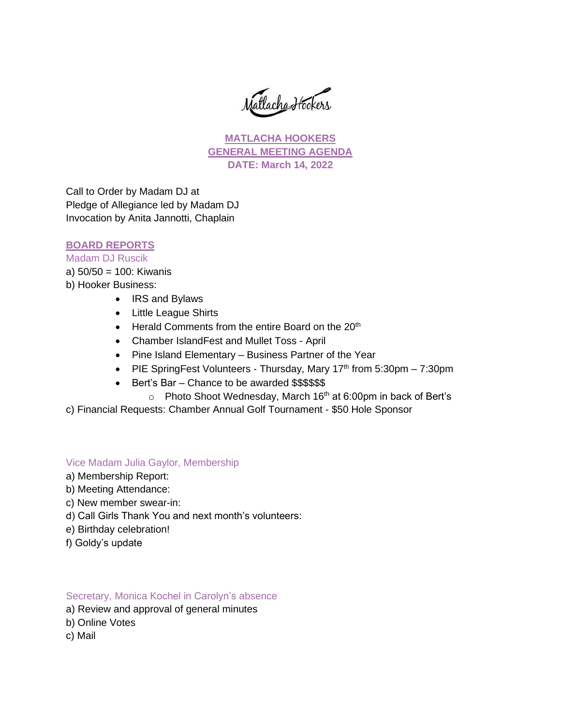Matlacha Hookers

**MATLACHA HOOKERS GENERAL MEETING AGENDA DATE: March 14, 2022**

Call to Order by Madam DJ at Pledge of Allegiance led by Madam DJ Invocation by Anita Jannotti, Chaplain

## **BOARD REPORTS**

# Madam DJ Ruscik

- a) 50/50 = 100: Kiwanis
- b) Hooker Business:
	- IRS and Bylaws
	- Little League Shirts
	- Herald Comments from the entire Board on the  $20<sup>th</sup>$
	- Chamber IslandFest and Mullet Toss April
	- Pine Island Elementary Business Partner of the Year
	- PIE SpringFest Volunteers Thursday, Mary  $17<sup>th</sup>$  from 5:30pm 7:30pm
	- Bert's Bar Chance to be awarded \$\$\$\$\$\$
		- $\circ$  Photo Shoot Wednesday, March 16<sup>th</sup> at 6:00pm in back of Bert's
- c) Financial Requests: Chamber Annual Golf Tournament \$50 Hole Sponsor

## Vice Madam Julia Gaylor, Membership

- a) Membership Report:
- b) Meeting Attendance:
- c) New member swear-in:
- d) Call Girls Thank You and next month's volunteers:
- e) Birthday celebration!
- f) Goldy's update

## Secretary, Monica Kochel in Carolyn's absence

- a) Review and approval of general minutes
- b) Online Votes
- c) Mail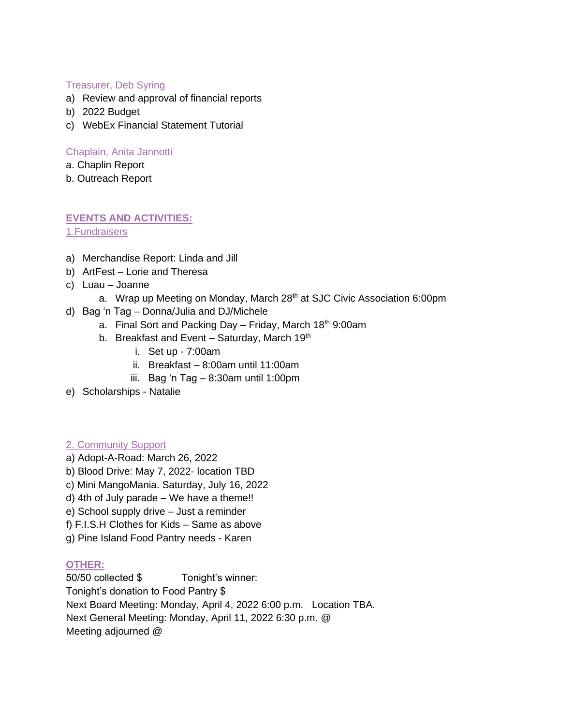## Treasurer, Deb Syring

- a) Review and approval of financial reports
- b) 2022 Budget
- c) WebEx Financial Statement Tutorial

## Chaplain, Anita Jannotti

- a. Chaplin Report
- b. Outreach Report

# **EVENTS AND ACTIVITIES:**

1.Fundraisers

- a) Merchandise Report: Linda and Jill
- b) ArtFest Lorie and Theresa
- c) Luau Joanne
	- a. Wrap up Meeting on Monday, March 28<sup>th</sup> at SJC Civic Association 6:00pm
- d) Bag 'n Tag Donna/Julia and DJ/Michele
	- a. Final Sort and Packing Day Friday, March  $18<sup>th</sup>$  9:00am
	- b. Breakfast and Event Saturday, March  $19<sup>th</sup>$ 
		- i. Set up 7:00am
		- ii. Breakfast 8:00am until 11:00am
		- iii. Bag 'n Tag 8:30am until 1:00pm
- e) Scholarships Natalie

## 2. Community Support

- a) Adopt-A-Road: March 26, 2022
- b) Blood Drive: May 7, 2022- location TBD
- c) Mini MangoMania. Saturday, July 16, 2022
- d) 4th of July parade We have a theme!!
- e) School supply drive Just a reminder
- f) F.I.S.H Clothes for Kids Same as above
- g) Pine Island Food Pantry needs Karen

# **OTHER:**

50/50 collected \$ Tonight's winner:

Tonight's donation to Food Pantry \$

Next Board Meeting: Monday, April 4, 2022 6:00 p.m. Location TBA.

Next General Meeting: Monday, April 11, 2022 6:30 p.m. @

Meeting adjourned @